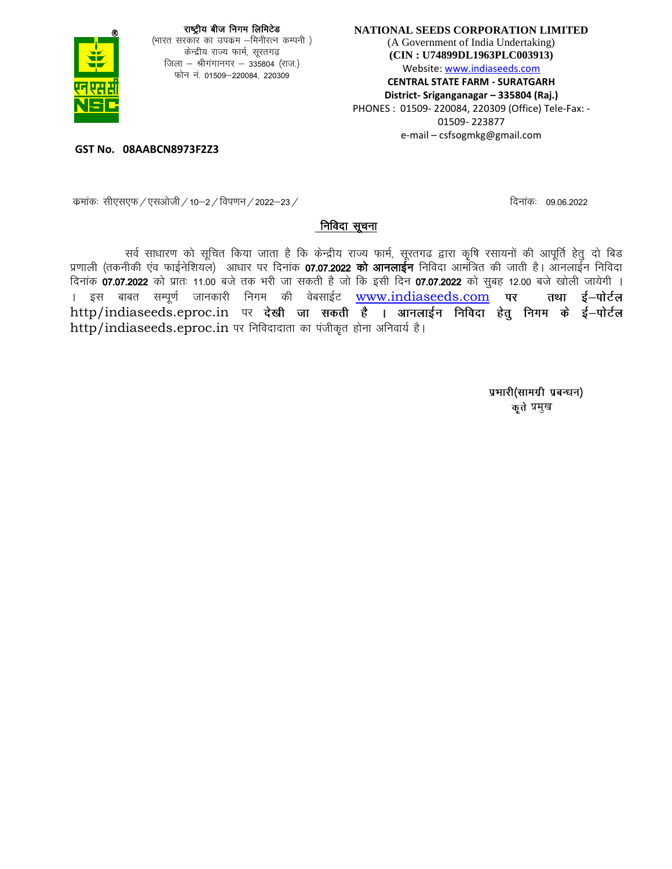

**NATIONAL SEEDS CORPORATION LIMITED** (A Government of India Undertaking) **(CIN : U74899DL1963PLC003913)** Website: www.indiaseeds.com **CENTRAL STATE FARM - SURATGARH District- Sriganganagar – 335804 (Raj.)** PHONES : 01509- 220084, 220309 (Office) Tele-Fax: - 01509- 223877 e-mail – csfsogmkg@gmail.com

**GST No. 08AABCN8973F2Z3**

: कमांकः सीएसएफ / एसओजी / 10–2 / विपणन / 2022–23 / कमांकः व्याद्यान्नात्रः त्रामांकः । 09.06.2022 कमांकः । 09.06.2022

#### निविदा सूचना

सर्व साधारण को सूचित किया जाता है कि केन्द्रीय राज्य फार्म, सूरतगढ द्वारा कृषि रसायनों की आपूर्ति हेतु दो बिड प्रणाली (तकनीकी एव फाईनेशियल) आधार पर दिनांक 07.07.2022 को आनलाईन निविदा आमंत्रित की जाती है। आनलाईन निविदा fnuk ad 07-07-2022 dk s i zkr% 11-00 cts rd Hkjh tk ldrh g S tks fd blh fnu 07-07-2022 dks lqcg 12-00 cts [kk syh tk;sxh A । इस बाबत सम्पूर्ण जानकारी निगम की वेबसाईट [www.indiaseeds.com](http://www.indiaseeds.com/) पर तथा ई–पोर्टल  $http/indexeeds.eproc.in$  पर देखी जा सकती है । आनलाईन निविदा हेतु निगम के ई-पोर्टल http/indiaseeds.eproc.in पर निविदादाता का पंजीकृत होना अनिवार्य है।

> प्रभारी(सामग्री प्रबन्धन) प्रमुख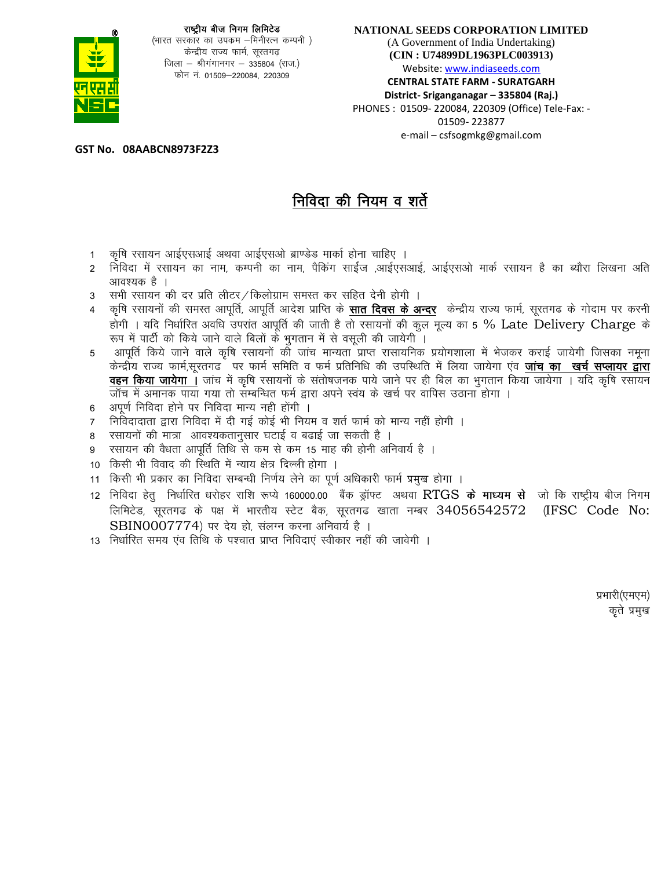

(भारत सरकार का उपक्रम –मिनीरत्न कम्पनी ) केन्द्रीय राज्य फार्म, सूरतगढ़ जिला - श्रीगंगानगर - 335804 (राज.) फोन नं. 01509–220084, 220309

#### NATIONAL SEEDS CORPORATION LIMITED

(A Government of India Undertaking) (CIN: U74899DL1963PLC003913) Website: www.indiaseeds.com

**CENTRAL STATE FARM - SURATGARH** District- Sriganganagar - 335804 (Raj.) PHONES: 01509-220084, 220309 (Office) Tele-Fax: -01509-223877 e-mail - csfsogmkg@gmail.com

GST No. 08AABCN8973F2Z3

# निविदा की नियम व शर्ते

- कृषि रसायन आईएसआई अथवा आईएसओ ब्राण्डेड मार्का होना चाहिए ।  $1$
- 2 निविदा में रसायन का नाम, कम्पनी का नाम, पैकिंग साईज ,आईएसआई, आईएसओ मार्क रसायन है का ब्यौरा लिखना अति आवश्यक है ।
- सभी रसायन की दर प्रति लीटर / किलोग्राम समस्त कर सहित देनी होगी ।  $3<sup>7</sup>$
- कृषि रसायनों की समस्त आपूर्ति, आपूर्ति आदेश प्राप्ति के **सात दिवस के अन्दर** केन्द्रीय राज्य फार्म, सूरतगढ के गोदाम पर करनी होगी । यदि निर्धारित अवधि उपरांत आपूर्ति की जाती है तो रसायनों की कुल मूल्य का 5 % Late Delivery Charge के रूप में पार्टी को किये जाने वाले बिलों के भुगतान में से वसूली की जायेगी ।
- आपूर्ति किये जाने वाले कृषि रसायनों को जांच मान्यता प्राप्त रासायनिक प्रयोगशाला में भेजकर कराई जायेगी जिसका नमुना 5 केन्द्रीय राज्य फार्म,सूरतगढ पर फार्म समिति व फर्म प्रतिनिधि की उपस्थिति में लिया जायेगा एव **जांच का खर्च सप्लायर द्वारा** वहन किया जायेगा । जांच में कृषि रसायनों के संतोषजनक पाये जाने पर ही बिल का भुगतान किया जायेगा । यदि कृषि रसायन जॉच में अमानक पाया गया तो सम्बन्धित फर्म द्वारा अपने स्वय के खर्च पर वापिस उठाना होगा ।
- अपूर्ण निविदा होने पर निविदा मान्य नही होंगी ।  $\kappa$
- निविदादाता द्वारा निविदा में दी गई कोई भी नियम व शर्त फार्म को मान्य नहीं होगी ।  $\overline{7}$
- रसायनों की मात्रा आवश्यकतानुसार घटाई व बढाई जा सकती है । 8
- रसायन की वैधता आपूर्ति तिथि से कम से कम 15 माह की होनी अनिवार्य है । 9
- 10 किसी भी विवाद की स्थिति में न्याय क्षेत्र दिल्ली होगा ।
- 11 किसी भी प्रकार का निविदा सम्बन्धी निर्णय लेने का पूर्ण अधिकारी फार्म प्रमुख होगा ।
- 12 निविदा हेत् निर्धारित धरोहर राशि रूप्ये 160000.00 बैंक ड्रॉफ्ट अथवा RTGS **के माध्यम से** जो कि राष्ट्रीय बीज निगम लिमिटेड, सूरतगढ के पक्ष में भारतीय स्टेट बैक, सूरतगढ खाता नम्बर 34056542572 (IFSC Code No:  $SBIN0007774$ ) पर देय हो, संलग्न करना अनिवार्य है ।
- 13 निर्धारित समय एव तिथि के पश्चात प्राप्त निविदाएं स्वीकार नहीं की जावेगी ।

प्रभारी(एमएम) कृते प्रमुख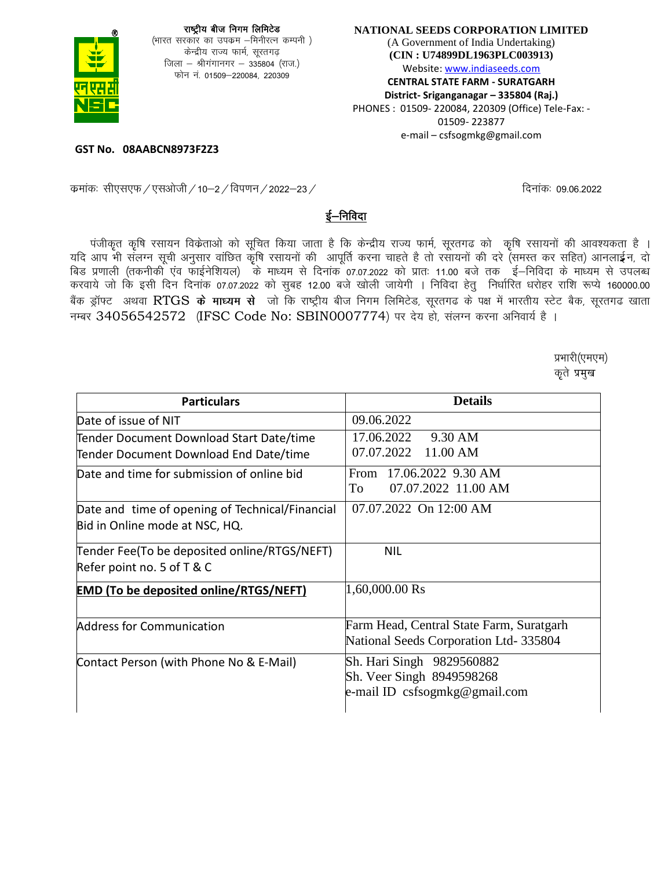

#### NATIONAL SEEDS CORPORATION LIMITED (A Government of India Undertaking) (CIN: U74899DL1963PLC003913) Website: www.indiaseeds.com **CENTRAL STATE FARM - SURATGARH** District- Sriganganagar - 335804 (Raj.) PHONES: 01509-220084, 220309 (Office) Tele-Fax: -01509-223877 e-mail - csfsogmkg@gmail.com

GST No. 08AABCN8973F2Z3

दिनाकः 09.06.2022

#### कमांकः सीएसएफ / एसओजी / 10–2 / विपणन / 2022–23 /

### ई–निविदा

पंजीकृत कृषि रसायन विक्रेताओं को सूचित किया जाता है कि केन्द्रीय राज्य फार्म, सूरतगढ को कृषि रसायनों की आवश्यकता है । यदि आप भी संलग्न सूची अनुसार वांछित कृषि रसायनों की आपूर्ति करना चाहते है तो रसायनों की दरे (समस्त कर सहित) आनलाईन, दो बिड प्रणाली (तकनीकी एव फाईनेशियल) के माध्यम से दिनांक 07.07.2022 को प्रातः 11.00 बजे तक ई–निविदा के माध्यम से उपलब्ध करवाये जो कि इसी दिन दिनांक 07.07.2022 को सुबह 12.00 बजे खोली जायेगी । निविदा हेतु निर्धारित धरोहर राशि रूप्ये 160000.00 बैंक ड्रॉफ्ट अथवा RTGS के माध्यम से जो कि राष्ट्रीय बीज निगम लिमिटेड, सूरतगढ के पक्ष में भारतीय स्टेट बैक, सूरतगढ खाता नम्बर 34056542572 (IFSC Code No: SBIN0007774) पर देय हो, संलग्न करना अनिवार्य है ।

> प्रभारी(एमएम) कृते प्रमुख

| <b>Particulars</b>                                                                 | <b>Details</b>                                                                          |
|------------------------------------------------------------------------------------|-----------------------------------------------------------------------------------------|
| Date of issue of NIT                                                               | 09.06.2022                                                                              |
| Tender Document Download Start Date/time<br>Tender Document Download End Date/time | 17.06.2022<br>9.30 AM<br>07.07.2022 11.00 AM                                            |
| Date and time for submission of online bid                                         | From 17.06.2022 9.30 AM<br>07.07.2022 11.00 AM<br>To                                    |
| Date and time of opening of Technical/Financial<br>Bid in Online mode at NSC, HQ.  | 07.07.2022 On 12:00 AM                                                                  |
| Tender Fee(To be deposited online/RTGS/NEFT)<br>Refer point no. 5 of T & C         | <b>NIL</b>                                                                              |
| <b>EMD (To be deposited online/RTGS/NEFT)</b>                                      | 1,60,000.00 Rs                                                                          |
| <b>Address for Communication</b>                                                   | Farm Head, Central State Farm, Suratgarh<br>National Seeds Corporation Ltd-335804       |
| Contact Person (with Phone No & E-Mail)                                            | Sh. Hari Singh 9829560882<br>Sh. Veer Singh 8949598268<br>e-mail ID csfsogmkg@gmail.com |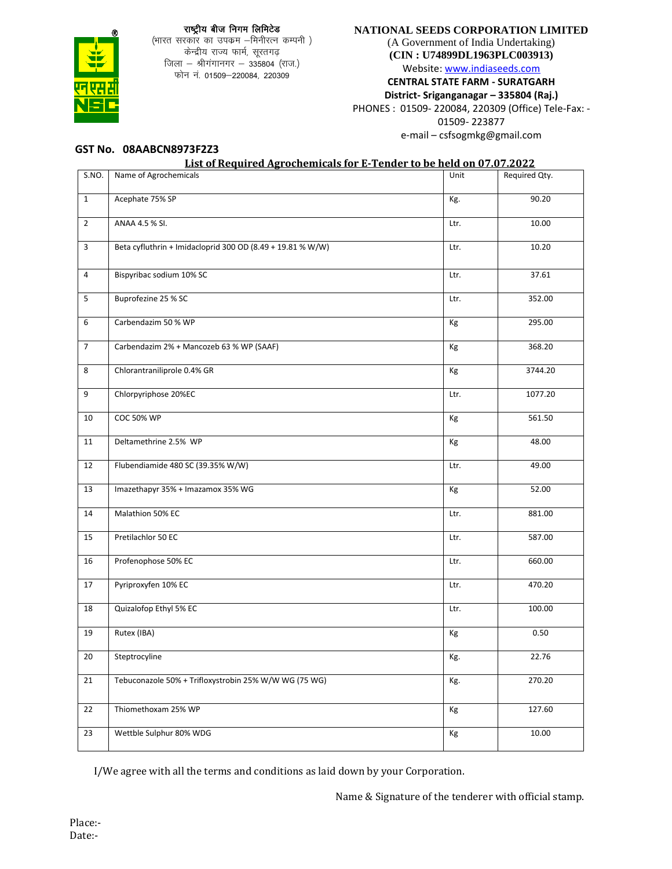#### राष्ट्रीय बीज निगम लिमिटेड



(भारत सरकार का उपक्रम –मिनीरत्न कम्पनी) केन्द्रीय राज्य फार्म, सूरतगढ़ जिला - श्रीगंगानगर - 335804 (राज.) फोन नं. 01509-220084, 220309

#### **NATIONAL SEEDS CORPORATION LIMITED**

(A Government of India Undertaking) **(CIN : U74899DL1963PLC003913)**

Website: www.indiaseeds.com

**CENTRAL STATE FARM - SURATGARH** 

**District- Sriganganagar – 335804 (Raj.)** PHONES : 01509- 220084, 220309 (Office) Tele-Fax: -

01509- 223877

e-mail – csfsogmkg@gmail.com

#### **GST No. 08AABCN8973F2Z3**

#### **List of Required Agrochemicals for E-Tender to be held on 07.07.2022**

| S.NO.                   | Name of Agrochemicals                                      | Unit | Required Qty. |
|-------------------------|------------------------------------------------------------|------|---------------|
| $\mathbf{1}$            | Acephate 75% SP                                            | Kg.  | 90.20         |
| $\overline{2}$          | ANAA 4.5 % SI.                                             | Ltr. | 10.00         |
| $\overline{3}$          | Beta cyfluthrin + Imidacloprid 300 OD (8.49 + 19.81 % W/W) | Ltr. | 10.20         |
| $\overline{4}$          | Bispyribac sodium 10% SC                                   | Ltr. | 37.61         |
| $\overline{\mathbf{5}}$ | Buprofezine 25 % SC                                        | Ltr. | 352.00        |
| 6                       | Carbendazim 50 % WP                                        | Кg   | 295.00        |
| $\overline{7}$          | Carbendazim 2% + Mancozeb 63 % WP (SAAF)                   | Кg   | 368.20        |
| 8                       | Chlorantraniliprole 0.4% GR                                | Кg   | 3744.20       |
| 9                       | Chlorpyriphose 20%EC                                       | Ltr. | 1077.20       |
| 10                      | <b>COC 50% WP</b>                                          | Kg   | 561.50        |
| 11                      | Deltamethrine 2.5% WP                                      | Кg   | 48.00         |
| 12                      | Flubendiamide 480 SC (39.35% W/W)                          | Ltr. | 49.00         |
| 13                      | Imazethapyr 35% + Imazamox 35% WG                          | Кg   | 52.00         |
| 14                      | Malathion 50% EC                                           | Ltr. | 881.00        |
| 15                      | Pretilachlor 50 EC                                         | Ltr. | 587.00        |
| 16                      | Profenophose 50% EC                                        | Ltr. | 660.00        |
| 17                      | Pyriproxyfen 10% EC                                        | Ltr. | 470.20        |
| 18                      | Quizalofop Ethyl 5% EC                                     | Ltr. | 100.00        |
| 19                      | Rutex (IBA)                                                | Кg   | 0.50          |
| 20                      | Steptrocyline                                              | Kg.  | 22.76         |
| 21                      | Tebuconazole 50% + Trifloxystrobin 25% W/W WG (75 WG)      | Kg.  | 270.20        |
| 22                      | Thiomethoxam 25% WP                                        | Кg   | 127.60        |
| 23                      | Wettble Sulphur 80% WDG                                    | Кg   | 10.00         |

I/We agree with all the terms and conditions as laid down by your Corporation.

Name & Signature of the tenderer with official stamp.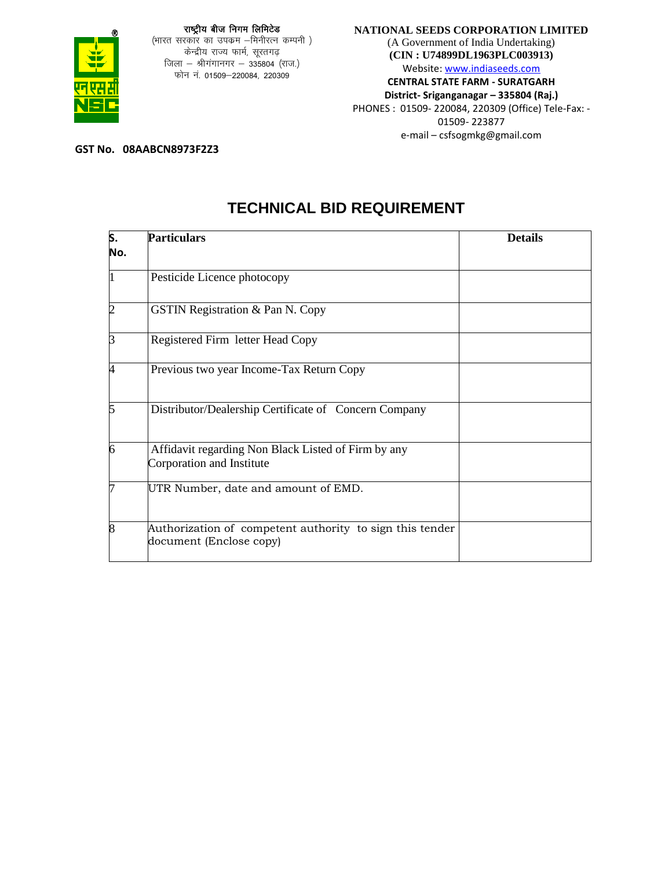

(भारत सरकार का उपक्रम –मिनीरत्न कम्पनी ) केन्द्रीय राज्य फार्म, सूरतगढ़ जिला – श्रीगंगानगर – 335804 (राज.) फोन नं. 01509-220084, 220309

#### **NATIONAL SEEDS CORPORATION LIMITED** (A Government of India Undertaking)

**(CIN : U74899DL1963PLC003913)** Website: www.indiaseeds.com **CENTRAL STATE FARM - SURATGARH District- Sriganganagar – 335804 (Raj.)** PHONES : 01509- 220084, 220309 (Office) Tele-Fax: - 01509- 223877

e-mail – csfsogmkg@gmail.com

**GST No. 08AABCN8973F2Z3**

## **TECHNICAL BID REQUIREMENT**

| ls. | <b>Particulars</b>                                                                  | <b>Details</b> |
|-----|-------------------------------------------------------------------------------------|----------------|
| No. |                                                                                     |                |
|     | Pesticide Licence photocopy                                                         |                |
| 2   | <b>GSTIN Registration &amp; Pan N. Copy</b>                                         |                |
| 3   | Registered Firm letter Head Copy                                                    |                |
|     | Previous two year Income-Tax Return Copy                                            |                |
| 5   | Distributor/Dealership Certificate of Concern Company                               |                |
| 6   | Affidavit regarding Non Black Listed of Firm by any<br>Corporation and Institute    |                |
|     | UTR Number, date and amount of EMD.                                                 |                |
| 8   | Authorization of competent authority to sign this tender<br>document (Enclose copy) |                |